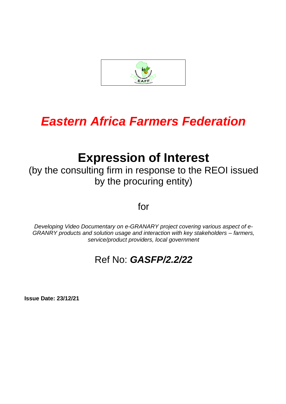

# *Eastern Africa Farmers Federation*

## **Expression of Interest**

(by the consulting firm in response to the REOI issued by the procuring entity)

for

*Developing Video Documentary on e-GRANARY project covering various aspect of e-GRANRY products and solution usage and interaction with key stakeholders – farmers, service/product providers, local government*

### Ref No: *GASFP/2.2/22*

**Issue Date: 23/12/21**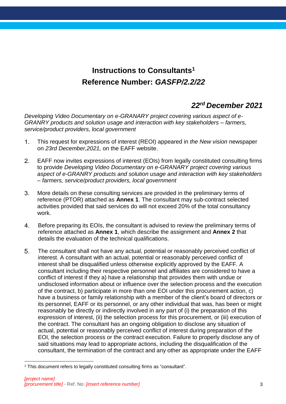#### **Instructions to Consultants<sup>1</sup> Reference Number:** *GASFP/2.2/22*

#### *22rd December 2021*

*Developing Video Documentary on e-GRANARY project covering various aspect of e-GRANRY products and solution usage and interaction with key stakeholders – farmers, service/product providers, local government*

- $1_{-}$ This request for expressions of interest (REOI) appeared in *the New vision* newspaper on *23rd December,2021,* on the EAFF website.
- $2.$ EAFF now invites expressions of interest (EOIs) from legally constituted consulting firms to provide *Developing Video Documentary on e-GRANARY project covering various aspect of e-GRANRY products and solution usage and interaction with key stakeholders – farmers, service/product providers, local government*
- $3<sub>1</sub>$ More details on these consulting services are provided in the preliminary terms of reference (PTOR) attached as **Annex 1**. The consultant may sub-contract selected activities provided that said services do will not exceed 20% of the total consultancy work.
- $4<sub>1</sub>$ Before preparing its EOIs, the consultant is advised to review the preliminary terms of reference attached as **Annex 1**, which describe the assignment and **Annex 2** that details the evaluation of the technical qualifications.
- $5<sub>1</sub>$ The consultant shall not have any actual, potential or reasonably perceived conflict of interest. A consultant with an actual, potential or reasonably perceived conflict of interest shall be disqualified unless otherwise explicitly approved by the EAFF. A consultant including their respective personnel and affiliates are considered to have a conflict of interest if they a) have a relationship that provides them with undue or undisclosed information about or influence over the selection process and the execution of the contract, b) participate in more than one EOI under this procurement action, c) have a business or family relationship with a member of the client's board of directors or its personnel, EAFF or its personnel, or any other individual that was, has been or might reasonably be directly or indirectly involved in any part of (i) the preparation of this expression of interest, (ii) the selection process for this procurement, or (iii) execution of the contract. The consultant has an ongoing obligation to disclose any situation of actual, potential or reasonably perceived conflict of interest during preparation of the EOI, the selection process or the contract execution. Failure to properly disclose any of said situations may lead to appropriate actions, including the disqualification of the consultant, the termination of the contract and any other as appropriate under the EAFF

 $\overline{a}$ <sup>1</sup> This document refers to legally constituted consulting firms as "consultant".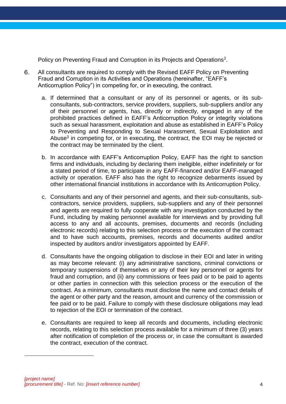Policy on Preventing Fraud and Corruption in its Projects and Operations<sup>2</sup>.

- $6.$ All consultants are required to comply with the Revised EAFF Policy on Preventing Fraud and Corruption in its Activities and Operations (hereinafter, "EAFF's Anticorruption Policy") in competing for, or in executing, the contract.
	- a. If determined that a consultant or any of its personnel or agents, or its subconsultants, sub-contractors, service providers, suppliers, sub-suppliers and/or any of their personnel or agents, has, directly or indirectly, engaged in any of the prohibited practices defined in EAFF's Anticorruption Policy or integrity violations such as sexual harassment, exploitation and abuse as established in EAFF's Policy to Preventing and Responding to Sexual Harassment, Sexual Exploitation and Abuse<sup>3</sup> in competing for, or in executing, the contract, the EOI may be rejected or the contract may be terminated by the client.
	- b. In accordance with EAFF's Anticorruption Policy, EAFF has the right to sanction firms and individuals, including by declaring them ineligible, either indefinitely or for a stated period of time, to participate in any EAFF-financed and/or EAFF-managed activity or operation. EAFF also has the right to recognize debarments issued by other international financial institutions in accordance with its Anticorruption Policy.
	- c. Consultants and any of their personnel and agents, and their sub-consultants, subcontractors, service providers, suppliers, sub-suppliers and any of their personnel and agents are required to fully cooperate with any investigation conducted by the Fund, including by making personnel available for interviews and by providing full access to any and all accounts, premises, documents and records (including electronic records) relating to this selection process or the execution of the contract and to have such accounts, premises, records and documents audited and/or inspected by auditors and/or investigators appointed by EAFF.
	- d. Consultants have the ongoing obligation to disclose in their EOI and later in writing as may become relevant: (i) any administrative sanctions, criminal convictions or temporary suspensions of themselves or any of their key personnel or agents for fraud and corruption, and (ii) any commissions or fees paid or to be paid to agents or other parties in connection with this selection process or the execution of the contract. As a minimum, consultants must disclose the name and contact details of the agent or other party and the reason, amount and currency of the commission or fee paid or to be paid. Failure to comply with these disclosure obligations may lead to rejection of the EOI or termination of the contract.
	- e. Consultants are required to keep all records and documents, including electronic records, relating to this selection process available for a minimum of three (3) years after notification of completion of the process or, in case the consultant is awarded the contract, execution of the contract.

 $\overline{a}$